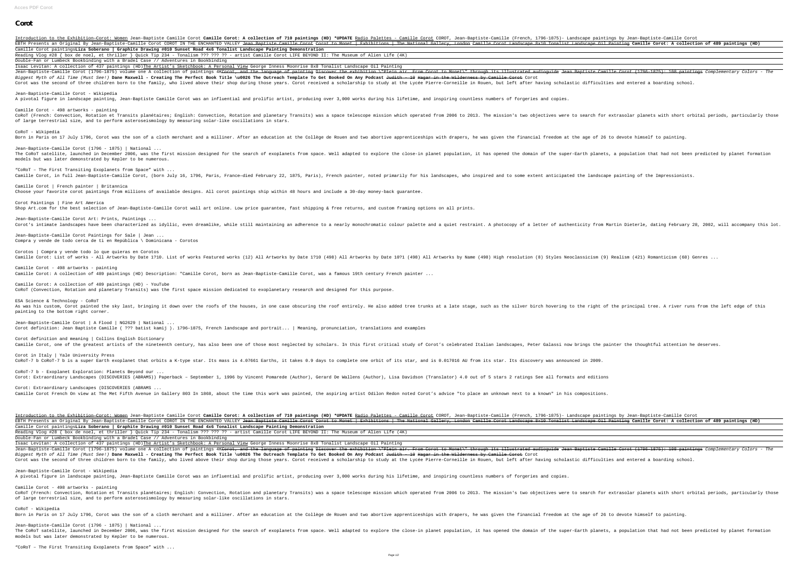## **Corot**

Introduction to the Exhibition-Corot: Women Jean-Baptiste Camille Corot Camille Corot: A collection of 710 paintings (HD) \*UPDATE Radio Palettes - Camille (French, 1796-1875)- Landscape paintings by Jean-Baptiste-Camille C EBTH Presents an Original By Jean-Baptiste-Camille Corot COROT IN THE ENCHANTED VALLEY <del>Jean Baptiste Camille Corot Landscape 8x10 Tonalist Landscape 0il Painting</del> **Camille Corot: A collection of 489 paintings (HD)** Camille Corot paintings**Liza Soberano | Graphite Drawing #010 Sunset Road 4x6 Tonalist Landscape Painting Demonstration** Reading Vlog #28 { box de noel, et thriller } Quick Tip 234 - Tonalism ??? ??? ?? - artist Camille Corot LIFE BEYOND II: The Museum of Alien Life (4K) Double-Fan or Lumbeck Bookbinding with a Bradel Case // Adventures in Bookbinding

Isaac Levitan: A collection of 437 paintings (HD)The Artist's Sketchbook: A Personal View George Inness Moonrise 8x8 Tonalist Landscape Oil Painting Jean-Baptiste-Camille Corot (1796–1875) volume one A collection of paintings 4K<del>Corot, and the language of painting Discover the exhibition \"Plein air. From Corot to Monet\" through its illustrated audioquide Jean Baptist</del> Biggest Myth of All Time (Must See!) **Dane Maxwell - Creating The Perfect Book Title \u0026 The Outreach Template To Get Booked On Any Podcast** Judith - 10 Hagar in the Wilderness by Camille Corot Corot Corot was the second of three children born to the family, who lived above their shop during those years. Corot received a scholarship to study at the Lycée Pierre-Corneille in Rouen, but left after having scholastic diffi

CoRoT (French: Convection, Rotation et Transits planétaires; English: Convection, Rotation and planetary Transits) was a space telescope mission which operated from 2006 to 2013. The mission's two objectives were to search of large terrestrial size, and to perform asteroseismology by measuring solar-like oscillations in stars.

"CoRoT – The First Transiting Exoplanets from Space" with ... Camille Corot, in full Jean-Baptiste-Camille Corot, (born July 16, 1796, Paris, France-died February 22, 1875, Paris), French painter, noted primarily for his landscapes, who inspired and to some extent anticipated the lan

Jean-Baptiste-Camille Corot - Wikipedia A pivotal figure in landscape painting, Jean-Baptiste Camille Corot was an influential and prolific artist, producing over 3,000 works during his lifetime, and inspiring countless numbers of forgeries and copies.

Jean-Baptiste-Camille Corot Art: Prints, Paintings ... Corot's intimate landscapes have been characterized as idyllic, even dreamlike, while still maintaining an adherence to a nearly monochromatic colour palette and a quiet restraint. A photocopy of a letter of authenticity f

Camille Corot - 498 artworks - painting

Corotos | Compra y vende todo lo que quieras en Corotos Camille Corot: List of works - All Artworks by Date 1?10. List of works Featured works (12) All Artworks by Date 1?10 (498) All Artworks by Name (498) All Artworks by Date 10?1 (498) All Artworks by Name (498) High resolut

CoRoT - Wikipedia

Jean-Baptiste-Camille Corot (1796 - 1875) | National ... The CoRoT satellite, launched in December 2006, was the first mission designed for the search of exoplanets from space. Well adapted to explore the super-Earth planets, a population that had not been predicted by planet fo models but was later demonstrated by Kepler to be numerous.

Camille Corot | French painter | Britannica Choose your favorite corot paintings from millions of available designs. All corot paintings ship within 48 hours and include a 30-day money-back guarantee.

Corot Paintings | Fine Art America

Shop Art.com for the best selection of Jean-Baptiste-Camille Corot wall art online. Low price guarantee, fast shipping & free returns, and custom framing options on all prints.

Introduction to the Exhibition-Corot: Women Jean-Baptiste Camille Corot Camille Corot: A collection of 710 paintings (HD) \*UPDATE Radio Palettes - Camille (French, 1796-1875)- Landscape paintings by Jean-Baptiste-Camille C EBTH Presents an Original By Jean-Baptiste-Camille Corot COROT IN THE ENCHANTED VALLEY <del>Jean Baptiste Camille Corot to Monet | Exhibitions | The National Gallery, London Camille Corot Landscape 8x10 Tonalist Landscape Oil </del> Camille Corot paintings**Liza Soberano | Graphite Drawing #010 Sunset Road 4x6 Tonalist Landscape Painting Demonstration** Reading Vlog #28 { box de noel, et thriller } Quick Tip 234 - Tonalism ??? ??? ?? - artist Camille Corot LIFE BEYOND II: The Museum of Alien Life (4K) Double-Fan or Lumbeck Bookbinding with a Bradel Case // Adventures in Bookbinding

Isaac Levitan: A collection of 437 paintings (HD)The Artist's Sketchbook: A Personal View George Inness Moonrise 8x8 Tonalist Landscape Oil Painting Jean-Baptiste-Camille Corot (1796–1875) volume one A collection of paintings 4K<del>Corot, and the language of painting Discover the exhibition \"Plein air. From Corot to Monet\" through its illustrated audioquide Jean Baptist</del> Biggest Myth of All Time (Must See!) Dane Maxwell - Creating The Perfect Book Title \u0026 The Outreach Template To Get Booked On Any Podcast Judith - 10 Hagar in the Wilderness by Camille Corot Corot Corot was the second of three children born to the family, who lived above their shop during those years. Corot received a scholarship to study at the Lycée Pierre-Corneille in Rouen, but left after having scholastic diffi

Jean-Baptiste-Camille Corot Paintings for Sale | Jean ... Compra y vende de todo cerca de ti en República \ Dominicana - Corotos

CoRoT - Wikipedia Born in Paris on 17 July 1796, Corot was the son of a cloth merchant and a milliner. After an education at the Collège de Rouen and two abortive apprenticeships with drapers, he was given the financial freedom at the age o

Camille Corot - 498 artworks - painting Camille Corot: A collection of 489 paintings (HD) Description: "Camille Corot, born as Jean-Baptiste-Camille Corot, was a famous 19th century French painter ...

Camille Corot: A collection of 489 paintings (HD) - YouTube CoRoT (Convection, Rotation and planetary Transits) was the first space mission dedicated to exoplanetary research and designed for this purpose.

ESA Science & Technology - CoRoT As was his custom, Corot painted the sky last, bringing it down over the roofs of the houses, in one case obscuring the silver birch hovering to the right of the principal tree. A river runs from the left edge of this painting to the bottom right corner.

Jean-Baptiste-Camille Corot | A Flood | NG2629 | National ... Corot definition: Jean Baptiste Camille ( ??? batist kamij ). 1796–1875, French landscape and portrait... | Meaning, pronunciation, translations and examples

Corot definition and meaning | Collins English Dictionary

Camille Corot, one of the greatest artists of the nineteenth century, has also been one of those most neglected by scholars. In this first critical study of Corot's celebrated Italian landscapes, Peter Galassi now brings t Corot in Italy | Yale University Press COROT-7 b COROT-7 b is a super Earth exoplanet that orbits a K-type star. Its mass is 4.07661 Earths, it takes 0.9 days to complete one orbit of its star, and is 0.017016 AU from its star. Its discovery was announced in 20 CoRoT-7 b - Exoplanet Exploration: Planets Beyond our ... Corot: Extraordinary Landscapes (DISCOVERIES (ABRAMS)) Paperback - September 1, 1996 by Vincent Pomarede (Author), Gerard De Wallens (Author), Lisa Davidson (Translator) 4.0 out of 5 stars 2 ratings See all formats and edi Corot: Extraordinary Landscapes (DISCOVERIES (ABRAMS ... Camille Corot French On view at The Met Fifth Avenue in Gallery 803 In 1868, about the time this work was painted, the aspiring artist Odilon Redon noted Corot's advice "to place an unknown next to a known" in his composit

Jean-Baptiste-Camille Corot - Wikipedia A pivotal figure in landscape painting, Jean-Baptiste Camille Corot was an influential and prolific artist, producing over 3,000 works during his lifetime, and inspiring countless numbers of forgeries and copies.

Camille Corot - 498 artworks - painting CoRoT (French: Convection, Rotation et Transits planétaires; English: Convection, Rotation and planetary Transits) was a space telescope mission which operated from 2006 to 2013. The mission's two objectives were to search of large terrestrial size, and to perform asteroseismology by measuring solar-like oscillations in stars.

Jean-Baptiste-Camille Corot (1796 - 1875) | National ... The CoRoT satellite, launched in December 2006, was the first mission designed for the search of exoplanets from space. Well adapted to explore the super-Earth planets, a population that had not been predicted by planet fo models but was later demonstrated by Kepler to be numerous.

"CoRoT – The First Transiting Exoplanets from Space" with ...

Born in Paris on 17 July 1796, Corot was the son of a cloth merchant and a milliner. After an education at the Collège de Rouen and two abortive apprenticeships with drapers, he was given the financial freedom at the age o